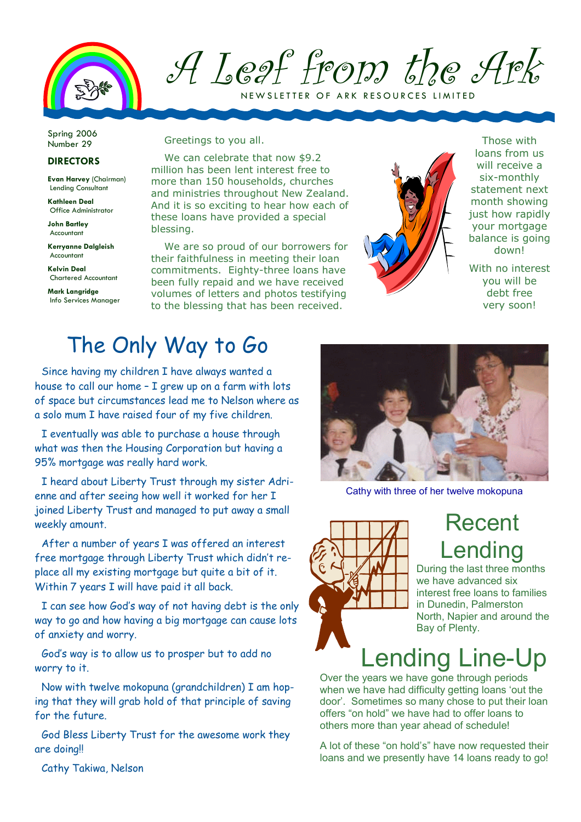

A Leaf from the Ark NEW SLETTER OF ARK RESOURCES LI

Spring 2006 Number 29

#### **DIRECTORS**

Evan Harvey (Chairman) Lending Consultant

Kathleen Deal Office Administrator

John Bartley Accountant

Kerryanne Dalgleish Accountant

Kelvin Deal Chartered Accountant

Mark Langridge Info Services Manager Greetings to you all.

We can celebrate that now \$9.2 million has been lent interest free to more than 150 households, churches and ministries throughout New Zealand. And it is so exciting to hear how each of these loans have provided a special blessing.

We are so proud of our borrowers for their faithfulness in meeting their loan commitments. Eighty-three loans have been fully repaid and we have received volumes of letters and photos testifying to the blessing that has been received.



Those with loans from us will receive a six-monthly statement next month showing just how rapidly your mortgage balance is going down!

With no interest you will be debt free very soon!

### The Only Way to Go

Since having my children I have always wanted a house to call our home - I grew up on a farm with lots of space but circumstances lead me to Nelson where as a solo mum I have raised four of my five children.

I eventually was able to purchase a house through what was then the Housing Corporation but having a 95% mortgage was really hard work.

I heard about Liberty Trust through my sister Adrienne and after seeing how well it worked for her I joined Liberty Trust and managed to put away a small weekly amount.

After a number of years I was offered an interest free mortgage through Liberty Trust which didn't replace all my existing mortgage but quite a bit of it. Within 7 years I will have paid it all back.

I can see how God's way of not having debt is the only way to go and how having a big mortgage can cause lots of anxiety and worry.

God's way is to allow us to prosper but to add no worry to it.

Now with twelve mokopuna (grandchildren) I am hoping that they will grab hold of that principle of saving for the future.

God Bless Liberty Trust for the awesome work they are doing!!



Cathy with three of her twelve mokopuna



# Recent Lending

During the last three months we have advanced six interest free loans to families in Dunedin, Palmerston North, Napier and around the Bay of Plenty.

# Lending Line-Up

Over the years we have gone through periods when we have had difficulty getting loans 'out the door'. Sometimes so many chose to put their loan offers "on hold" we have had to offer loans to others more than year ahead of schedule!

A lot of these "on hold's" have now requested their loans and we presently have 14 loans ready to go!

Cathy Takiwa, Nelson